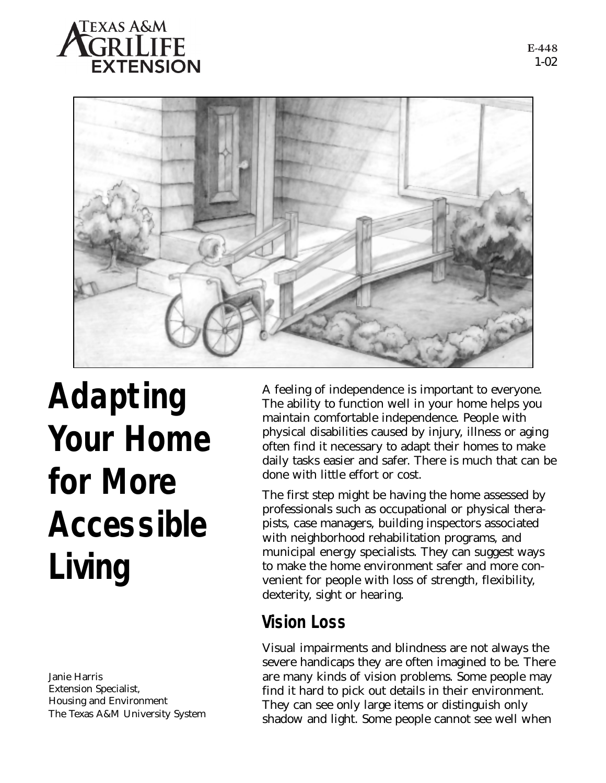



**Adapting Your Home for More Accessible Living**

Janie Harris Extension Specialist, Housing and Environment The Texas A&M University System A feeling of independence is important to everyone. The ability to function well in your home helps you maintain comfortable independence. People with physical disabilities caused by injury, illness or aging often find it necessary to adapt their homes to make daily tasks easier and safer. There is much that can be done with little effort or cost.

The first step might be having the home assessed by professionals such as occupational or physical therapists, case managers, building inspectors associated with neighborhood rehabilitation programs, and municipal energy specialists. They can suggest ways to make the home environment safer and more convenient for people with loss of strength, flexibility, dexterity, sight or hearing.

## **Vision Loss**

Visual impairments and blindness are not always the severe handicaps they are often imagined to be. There are many kinds of vision problems. Some people may find it hard to pick out details in their environment. They can see only large items or distinguish only shadow and light. Some people cannot see well when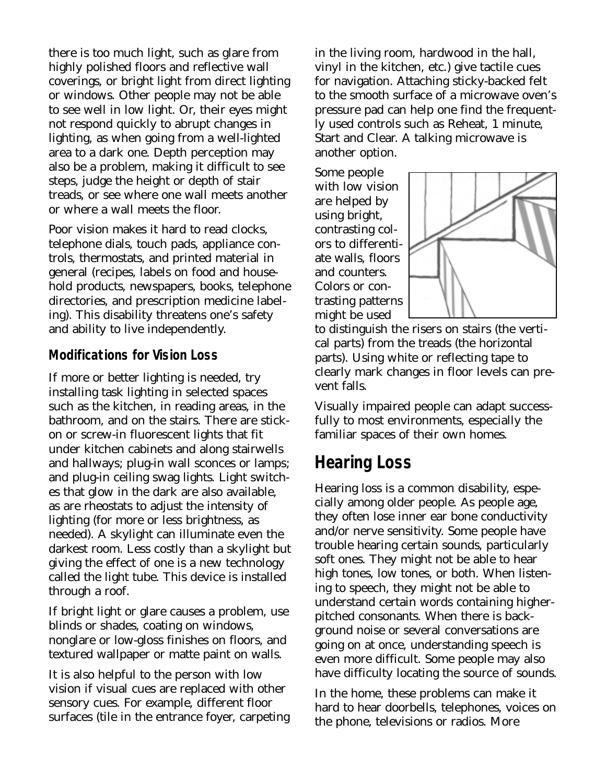there is too much light, such as glare from highly polished floors and reflective wall coverings, or bright light from direct lighting or windows. Other people may not be able to see well in low light. Or, their eyes might not respond quickly to abrupt changes in lighting, as when going from a well-lighted area to a dark one. Depth perception may also be a problem, making it difficult to see steps, judge the height or depth of stair treads, or see where one wall meets another or where a wall meets the floor.

Poor vision makes it hard to read clocks, telephone dials, touch pads, appliance controls, thermostats, and printed material in general (recipes, labels on food and household products, newspapers, books, telephone directories, and prescription medicine labeling). This disability threatens one's safety and ability to live independently.

#### **Modifications for Vision Loss**

If more or better lighting is needed, try installing task lighting in selected spaces such as the kitchen, in reading areas, in the bathroom, and on the stairs. There are stickon or screw-in fluorescent lights that fit under kitchen cabinets and along stairwells and hallways; plug-in wall sconces or lamps; and plug-in ceiling swag lights. Light switches that glow in the dark are also available, as are rheostats to adjust the intensity of lighting (for more or less brightness, as needed). A skylight can illuminate even the darkest room. Less costly than a skylight but giving the effect of one is a new technology called the light tube. This device is installed through a roof.

If bright light or glare causes a problem, use blinds or shades, coating on windows, nonglare or low-gloss finishes on floors, and textured wallpaper or matte paint on walls.

It is also helpful to the person with low vision if visual cues are replaced with other sensory cues. For example, different floor surfaces (tile in the entrance foyer, carpeting in the living room, hardwood in the hall, vinyl in the kitchen, etc.) give tactile cues for navigation. Attaching sticky-backed felt to the smooth surface of a microwave oven's pressure pad can help one find the frequently used controls such as Reheat, 1 minute, Start and Clear. A talking microwave is another option.

Some people with low vision are helped by using bright, contrasting colors to differentiate walls, floors and counters. Colors or contrasting patterns might be used



to distinguish the risers on stairs (the vertical parts) from the treads (the horizontal parts). Using white or reflecting tape to clearly mark changes in floor levels can prevent falls.

Visually impaired people can adapt successfully to most environments, especially the familiar spaces of their own homes.

### **Hearing Loss**

Hearing loss is a common disability, especially among older people. As people age, they often lose inner ear bone conductivity and/or nerve sensitivity. Some people have trouble hearing certain sounds, particularly soft ones. They might not be able to hear high tones, low tones, or both. When listening to speech, they might not be able to understand certain words containing higherpitched consonants. When there is background noise or several conversations are going on at once, understanding speech is even more difficult. Some people may also have difficulty locating the source of sounds.

In the home, these problems can make it hard to hear doorbells, telephones, voices on the phone, televisions or radios. More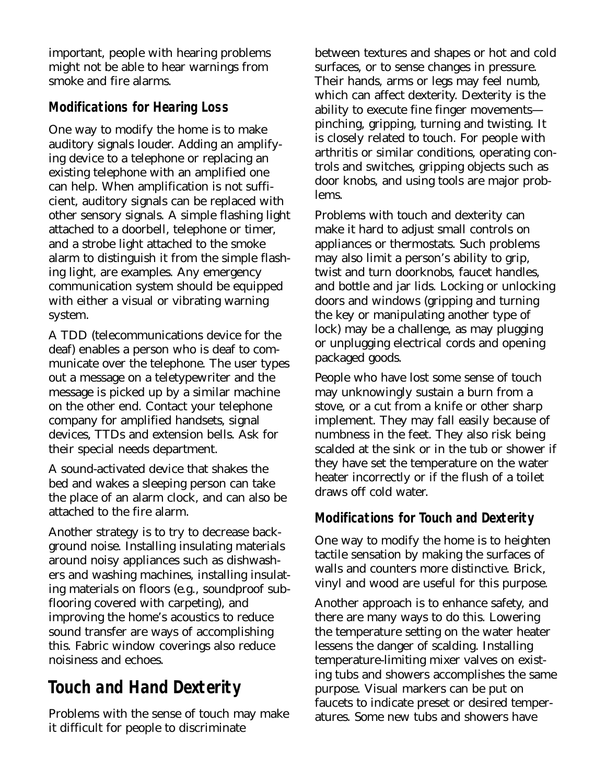important, people with hearing problems might not be able to hear warnings from smoke and fire alarms.

### **Modifications for Hearing Loss**

One way to modify the home is to make auditory signals louder. Adding an amplifying device to a telephone or replacing an existing telephone with an amplified one can help. When amplification is not sufficient, auditory signals can be replaced with other sensory signals. A simple flashing light attached to a doorbell, telephone or timer, and a strobe light attached to the smoke alarm to distinguish it from the simple flashing light, are examples. Any emergency communication system should be equipped with either a visual or vibrating warning system.

A TDD (telecommunications device for the deaf) enables a person who is deaf to communicate over the telephone. The user types out a message on a teletypewriter and the message is picked up by a similar machine on the other end. Contact your telephone company for amplified handsets, signal devices, TTDs and extension bells. Ask for their special needs department.

A sound-activated device that shakes the bed and wakes a sleeping person can take the place of an alarm clock, and can also be attached to the fire alarm.

Another strategy is to try to decrease background noise. Installing insulating materials around noisy appliances such as dishwashers and washing machines, installing insulating materials on floors (e.g., soundproof subflooring covered with carpeting), and improving the home's acoustics to reduce sound transfer are ways of accomplishing this. Fabric window coverings also reduce noisiness and echoes.

# **Touch and Hand Dexterity**

Problems with the sense of touch may make it difficult for people to discriminate

between textures and shapes or hot and cold surfaces, or to sense changes in pressure. Their hands, arms or legs may feel numb, which can affect dexterity. Dexterity is the ability to execute fine finger movements pinching, gripping, turning and twisting. It is closely related to touch. For people with arthritis or similar conditions, operating controls and switches, gripping objects such as door knobs, and using tools are major problems.

Problems with touch and dexterity can make it hard to adjust small controls on appliances or thermostats. Such problems may also limit a person's ability to grip, twist and turn doorknobs, faucet handles, and bottle and jar lids. Locking or unlocking doors and windows (gripping and turning the key or manipulating another type of lock) may be a challenge, as may plugging or unplugging electrical cords and opening packaged goods.

People who have lost some sense of touch may unknowingly sustain a burn from a stove, or a cut from a knife or other sharp implement. They may fall easily because of numbness in the feet. They also risk being scalded at the sink or in the tub or shower if they have set the temperature on the water heater incorrectly or if the flush of a toilet draws off cold water.

#### **Modifications for Touch and Dexterity**

One way to modify the home is to heighten tactile sensation by making the surfaces of walls and counters more distinctive. Brick, vinyl and wood are useful for this purpose.

Another approach is to enhance safety, and there are many ways to do this. Lowering the temperature setting on the water heater lessens the danger of scalding. Installing temperature-limiting mixer valves on existing tubs and showers accomplishes the same purpose. Visual markers can be put on faucets to indicate preset or desired temperatures. Some new tubs and showers have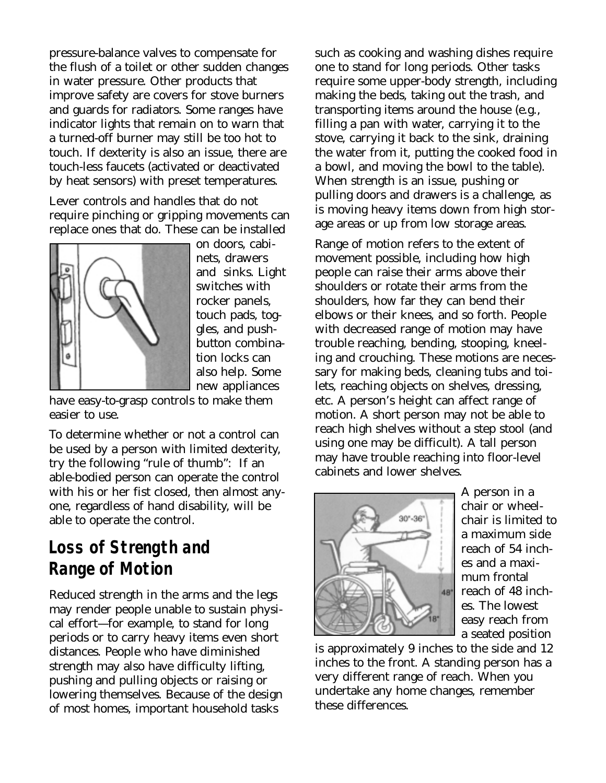pressure-balance valves to compensate for the flush of a toilet or other sudden changes in water pressure. Other products that improve safety are covers for stove burners and guards for radiators. Some ranges have indicator lights that remain on to warn that a turned-off burner may still be too hot to touch. If dexterity is also an issue, there are touch-less faucets (activated or deactivated by heat sensors) with preset temperatures.

Lever controls and handles that do not require pinching or gripping movements can replace ones that do. These can be installed



on doors, cabinets, drawers and sinks. Light switches with rocker panels, touch pads, toggles, and pushbutton combination locks can also help. Some new appliances

have easy-to-grasp controls to make them easier to use.

To determine whether or not a control can be used by a person with limited dexterity, try the following "rule of thumb": If an able-bodied person can operate the control with his or her fist closed, then almost anyone, regardless of hand disability, will be able to operate the control.

## **Loss of Strength and Range of Motion**

Reduced strength in the arms and the legs may render people unable to sustain physical effort—for example, to stand for long periods or to carry heavy items even short distances. People who have diminished strength may also have difficulty lifting, pushing and pulling objects or raising or lowering themselves. Because of the design of most homes, important household tasks

such as cooking and washing dishes require one to stand for long periods. Other tasks require some upper-body strength, including making the beds, taking out the trash, and transporting items around the house (e.g., filling a pan with water, carrying it to the stove, carrying it back to the sink, draining the water from it, putting the cooked food in a bowl, and moving the bowl to the table). When strength is an issue, pushing or pulling doors and drawers is a challenge, as is moving heavy items down from high storage areas or up from low storage areas.

Range of motion refers to the extent of movement possible, including how high people can raise their arms above their shoulders or rotate their arms from the shoulders, how far they can bend their elbows or their knees, and so forth. People with decreased range of motion may have trouble reaching, bending, stooping, kneeling and crouching. These motions are necessary for making beds, cleaning tubs and toilets, reaching objects on shelves, dressing, etc. A person's height can affect range of motion. A short person may not be able to reach high shelves without a step stool (and using one may be difficult). A tall person may have trouble reaching into floor-level cabinets and lower shelves.



A person in a chair or wheelchair is limited to a maximum side reach of 54 inches and a maximum frontal reach of 48 inches. The lowest easy reach from a seated position

is approximately 9 inches to the side and 12 inches to the front. A standing person has a very different range of reach. When you undertake any home changes, remember these differences.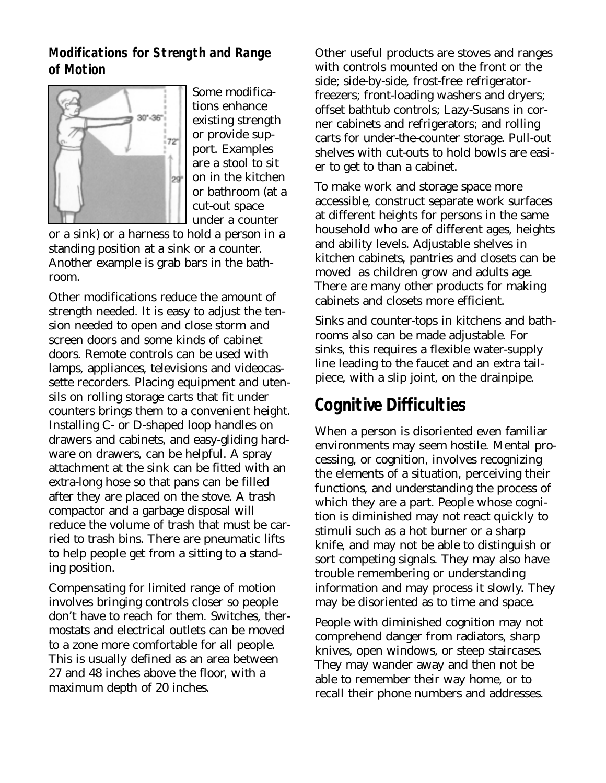**Modifications for Strength and Range of Motion**



Some modifications enhance existing strength or provide support. Examples are a stool to sit on in the kitchen or bathroom (at a cut-out space under a counter

or a sink) or a harness to hold a person in a standing position at a sink or a counter. Another example is grab bars in the bathroom.

Other modifications reduce the amount of strength needed. It is easy to adjust the tension needed to open and close storm and screen doors and some kinds of cabinet doors. Remote controls can be used with lamps, appliances, televisions and videocassette recorders. Placing equipment and utensils on rolling storage carts that fit under counters brings them to a convenient height. Installing C- or D-shaped loop handles on drawers and cabinets, and easy-gliding hardware on drawers, can be helpful. A spray attachment at the sink can be fitted with an extra-long hose so that pans can be filled after they are placed on the stove. A trash compactor and a garbage disposal will reduce the volume of trash that must be carried to trash bins. There are pneumatic lifts to help people get from a sitting to a standing position.

Compensating for limited range of motion involves bringing controls closer so people don't have to reach for them. Switches, thermostats and electrical outlets can be moved to a zone more comfortable for all people. This is usually defined as an area between 27 and 48 inches above the floor, with a maximum depth of 20 inches.

Other useful products are stoves and ranges with controls mounted on the front or the side; side-by-side, frost-free refrigeratorfreezers; front-loading washers and dryers; offset bathtub controls; Lazy-Susans in corner cabinets and refrigerators; and rolling carts for under-the-counter storage. Pull-out shelves with cut-outs to hold bowls are easier to get to than a cabinet.

To make work and storage space more accessible, construct separate work surfaces at different heights for persons in the same household who are of different ages, heights and ability levels. Adjustable shelves in kitchen cabinets, pantries and closets can be moved as children grow and adults age. There are many other products for making cabinets and closets more efficient.

Sinks and counter-tops in kitchens and bathrooms also can be made adjustable. For sinks, this requires a flexible water-supply line leading to the faucet and an extra tailpiece, with a slip joint, on the drainpipe.

## **Cognitive Difficulties**

When a person is disoriented even familiar environments may seem hostile. Mental processing, or cognition, involves recognizing the elements of a situation, perceiving their functions, and understanding the process of which they are a part. People whose cognition is diminished may not react quickly to stimuli such as a hot burner or a sharp knife, and may not be able to distinguish or sort competing signals. They may also have trouble remembering or understanding information and may process it slowly. They may be disoriented as to time and space.

People with diminished cognition may not comprehend danger from radiators, sharp knives, open windows, or steep staircases. They may wander away and then not be able to remember their way home, or to recall their phone numbers and addresses.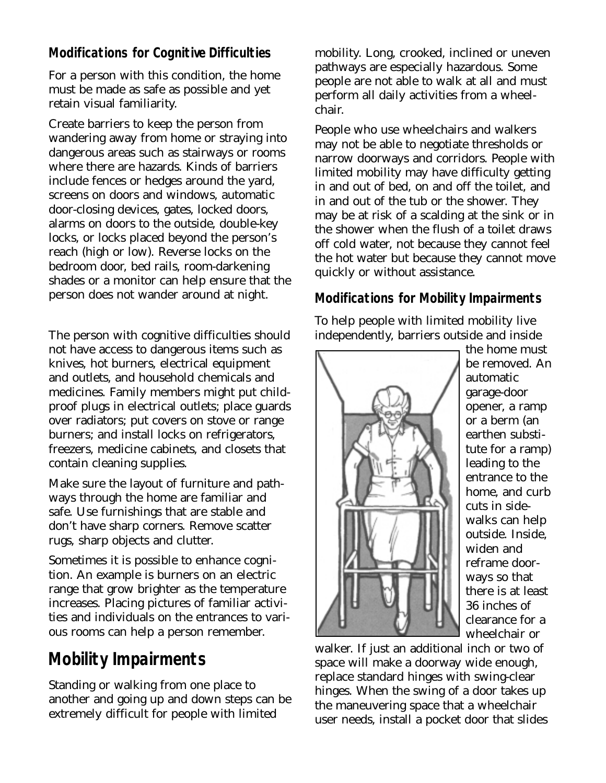### **Modifications for Cognitive Difficulties**

For a person with this condition, the home must be made as safe as possible and yet retain visual familiarity.

Create barriers to keep the person from wandering away from home or straying into dangerous areas such as stairways or rooms where there are hazards. Kinds of barriers include fences or hedges around the yard, screens on doors and windows, automatic door-closing devices, gates, locked doors, alarms on doors to the outside, double-key locks, or locks placed beyond the person's reach (high or low). Reverse locks on the bedroom door, bed rails, room-darkening shades or a monitor can help ensure that the person does not wander around at night.

The person with cognitive difficulties should not have access to dangerous items such as knives, hot burners, electrical equipment and outlets, and household chemicals and medicines. Family members might put childproof plugs in electrical outlets; place guards over radiators; put covers on stove or range burners; and install locks on refrigerators, freezers, medicine cabinets, and closets that contain cleaning supplies.

Make sure the layout of furniture and pathways through the home are familiar and safe. Use furnishings that are stable and don't have sharp corners. Remove scatter rugs, sharp objects and clutter.

Sometimes it is possible to enhance cognition. An example is burners on an electric range that grow brighter as the temperature increases. Placing pictures of familiar activities and individuals on the entrances to various rooms can help a person remember.

# **Mobility Impairments**

Standing or walking from one place to another and going up and down steps can be extremely difficult for people with limited

mobility. Long, crooked, inclined or uneven pathways are especially hazardous. Some people are not able to walk at all and must perform all daily activities from a wheelchair.

People who use wheelchairs and walkers may not be able to negotiate thresholds or narrow doorways and corridors. People with limited mobility may have difficulty getting in and out of bed, on and off the toilet, and in and out of the tub or the shower. They may be at risk of a scalding at the sink or in the shower when the flush of a toilet draws off cold water, not because they cannot feel the hot water but because they cannot move quickly or without assistance.

#### **Modifications for Mobility Impairments**

To help people with limited mobility live independently, barriers outside and inside



the home must be removed. An automatic garage-door opener, a ramp or a berm (an earthen substitute for a ramp) leading to the entrance to the home, and curb cuts in sidewalks can help outside. Inside, widen and reframe doorways so that there is at least 36 inches of clearance for a wheelchair or

walker. If just an additional inch or two of space will make a doorway wide enough, replace standard hinges with swing-clear hinges. When the swing of a door takes up the maneuvering space that a wheelchair user needs, install a pocket door that slides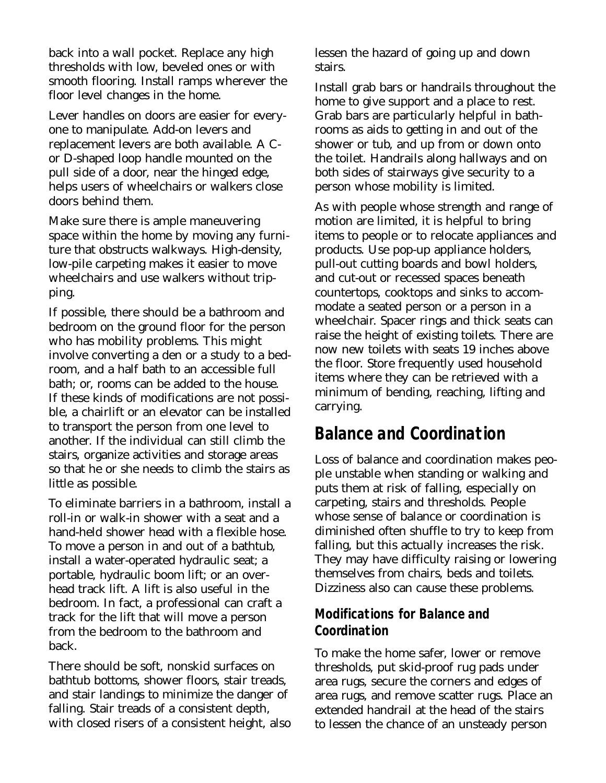back into a wall pocket. Replace any high thresholds with low, beveled ones or with smooth flooring. Install ramps wherever the floor level changes in the home.

Lever handles on doors are easier for everyone to manipulate. Add-on levers and replacement levers are both available. A Cor D-shaped loop handle mounted on the pull side of a door, near the hinged edge, helps users of wheelchairs or walkers close doors behind them.

Make sure there is ample maneuvering space within the home by moving any furniture that obstructs walkways. High-density, low-pile carpeting makes it easier to move wheelchairs and use walkers without tripping.

If possible, there should be a bathroom and bedroom on the ground floor for the person who has mobility problems. This might involve converting a den or a study to a bedroom, and a half bath to an accessible full bath; or, rooms can be added to the house. If these kinds of modifications are not possible, a chairlift or an elevator can be installed to transport the person from one level to another. If the individual can still climb the stairs, organize activities and storage areas so that he or she needs to climb the stairs as little as possible.

To eliminate barriers in a bathroom, install a roll-in or walk-in shower with a seat and a hand-held shower head with a flexible hose. To move a person in and out of a bathtub, install a water-operated hydraulic seat; a portable, hydraulic boom lift; or an overhead track lift. A lift is also useful in the bedroom. In fact, a professional can craft a track for the lift that will move a person from the bedroom to the bathroom and back.

There should be soft, nonskid surfaces on bathtub bottoms, shower floors, stair treads, and stair landings to minimize the danger of falling. Stair treads of a consistent depth, with closed risers of a consistent height, also

lessen the hazard of going up and down stairs.

Install grab bars or handrails throughout the home to give support and a place to rest. Grab bars are particularly helpful in bathrooms as aids to getting in and out of the shower or tub, and up from or down onto the toilet. Handrails along hallways and on both sides of stairways give security to a person whose mobility is limited.

As with people whose strength and range of motion are limited, it is helpful to bring items to people or to relocate appliances and products. Use pop-up appliance holders, pull-out cutting boards and bowl holders, and cut-out or recessed spaces beneath countertops, cooktops and sinks to accommodate a seated person or a person in a wheelchair. Spacer rings and thick seats can raise the height of existing toilets. There are now new toilets with seats 19 inches above the floor. Store frequently used household items where they can be retrieved with a minimum of bending, reaching, lifting and carrying.

### **Balance and Coordination**

Loss of balance and coordination makes people unstable when standing or walking and puts them at risk of falling, especially on carpeting, stairs and thresholds. People whose sense of balance or coordination is diminished often shuffle to try to keep from falling, but this actually increases the risk. They may have difficulty raising or lowering themselves from chairs, beds and toilets. Dizziness also can cause these problems.

#### **Modifications for Balance and Coordination**

To make the home safer, lower or remove thresholds, put skid-proof rug pads under area rugs, secure the corners and edges of area rugs, and remove scatter rugs. Place an extended handrail at the head of the stairs to lessen the chance of an unsteady person